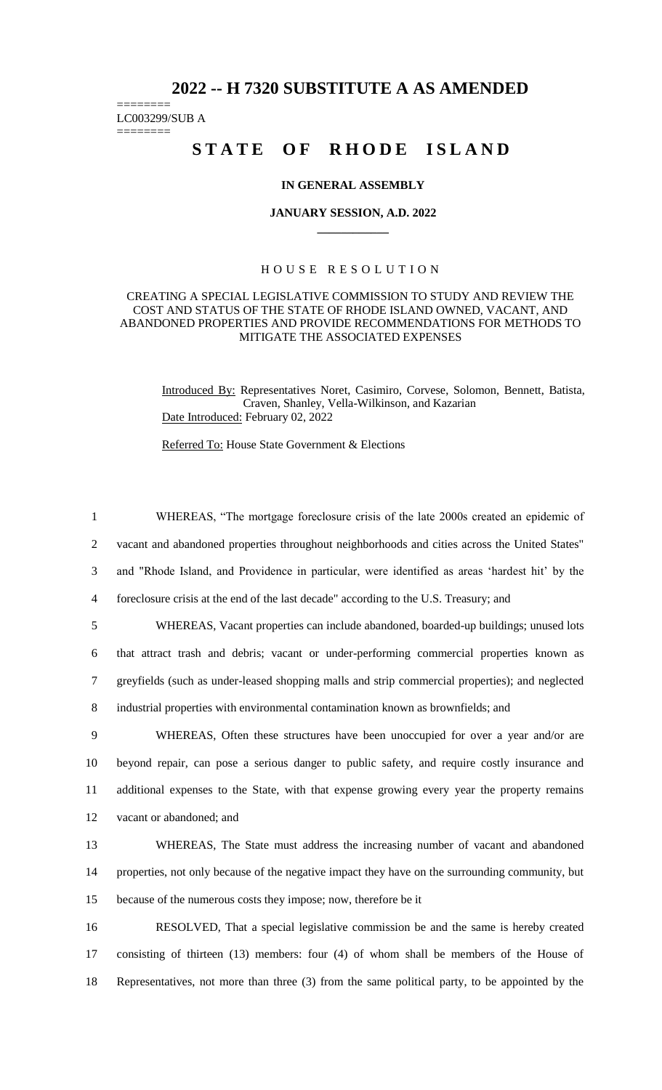# **2022 -- H 7320 SUBSTITUTE A AS AMENDED**

======== LC003299/SUB A

========

# STATE OF RHODE ISLAND

#### **IN GENERAL ASSEMBLY**

#### **JANUARY SESSION, A.D. 2022 \_\_\_\_\_\_\_\_\_\_\_\_**

## H O U S E R E S O L U T I O N

## CREATING A SPECIAL LEGISLATIVE COMMISSION TO STUDY AND REVIEW THE COST AND STATUS OF THE STATE OF RHODE ISLAND OWNED, VACANT, AND ABANDONED PROPERTIES AND PROVIDE RECOMMENDATIONS FOR METHODS TO MITIGATE THE ASSOCIATED EXPENSES

Introduced By: Representatives Noret, Casimiro, Corvese, Solomon, Bennett, Batista, Craven, Shanley, Vella-Wilkinson, and Kazarian Date Introduced: February 02, 2022

Referred To: House State Government & Elections

 WHEREAS, "The mortgage foreclosure crisis of the late 2000s created an epidemic of vacant and abandoned properties throughout neighborhoods and cities across the United States" and "Rhode Island, and Providence in particular, were identified as areas 'hardest hit' by the foreclosure crisis at the end of the last decade" according to the U.S. Treasury; and WHEREAS, Vacant properties can include abandoned, boarded-up buildings; unused lots that attract trash and debris; vacant or under-performing commercial properties known as greyfields (such as under-leased shopping malls and strip commercial properties); and neglected industrial properties with environmental contamination known as brownfields; and

 WHEREAS, Often these structures have been unoccupied for over a year and/or are beyond repair, can pose a serious danger to public safety, and require costly insurance and additional expenses to the State, with that expense growing every year the property remains vacant or abandoned; and

13 WHEREAS, The State must address the increasing number of vacant and abandoned 14 properties, not only because of the negative impact they have on the surrounding community, but 15 because of the numerous costs they impose; now, therefore be it

16 RESOLVED, That a special legislative commission be and the same is hereby created 17 consisting of thirteen (13) members: four (4) of whom shall be members of the House of 18 Representatives, not more than three (3) from the same political party, to be appointed by the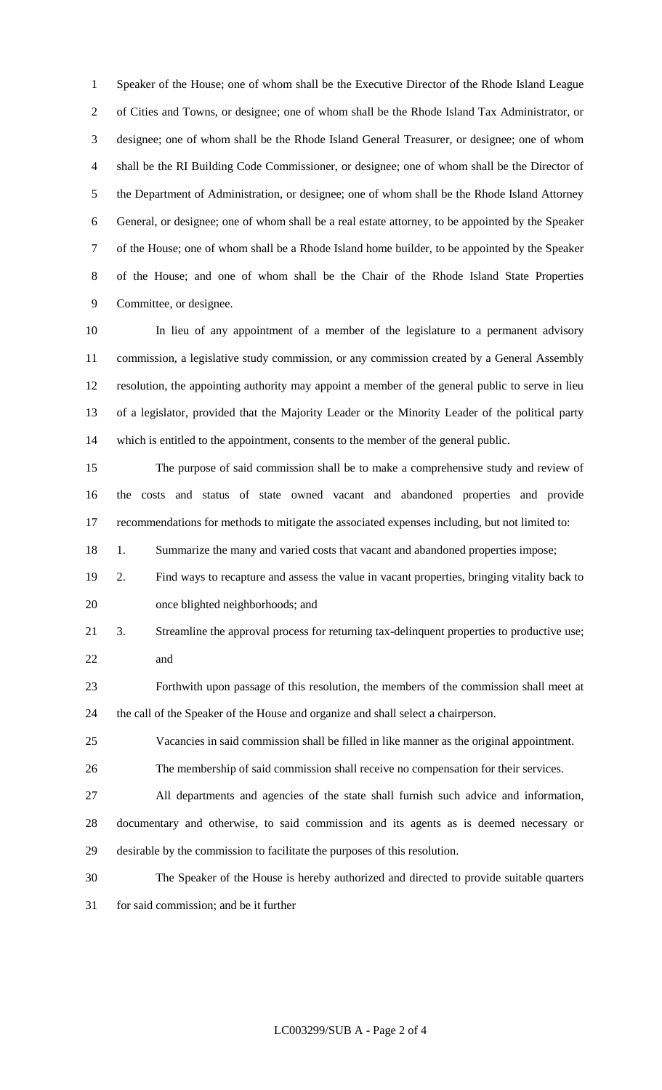Speaker of the House; one of whom shall be the Executive Director of the Rhode Island League of Cities and Towns, or designee; one of whom shall be the Rhode Island Tax Administrator, or designee; one of whom shall be the Rhode Island General Treasurer, or designee; one of whom shall be the RI Building Code Commissioner, or designee; one of whom shall be the Director of the Department of Administration, or designee; one of whom shall be the Rhode Island Attorney General, or designee; one of whom shall be a real estate attorney, to be appointed by the Speaker of the House; one of whom shall be a Rhode Island home builder, to be appointed by the Speaker of the House; and one of whom shall be the Chair of the Rhode Island State Properties Committee, or designee.

 In lieu of any appointment of a member of the legislature to a permanent advisory commission, a legislative study commission, or any commission created by a General Assembly resolution, the appointing authority may appoint a member of the general public to serve in lieu of a legislator, provided that the Majority Leader or the Minority Leader of the political party which is entitled to the appointment, consents to the member of the general public.

 The purpose of said commission shall be to make a comprehensive study and review of the costs and status of state owned vacant and abandoned properties and provide recommendations for methods to mitigate the associated expenses including, but not limited to:

18 1. Summarize the many and varied costs that vacant and abandoned properties impose;

- 2. Find ways to recapture and assess the value in vacant properties, bringing vitality back to once blighted neighborhoods; and
- 3. Streamline the approval process for returning tax-delinquent properties to productive use; and

 Forthwith upon passage of this resolution, the members of the commission shall meet at the call of the Speaker of the House and organize and shall select a chairperson.

Vacancies in said commission shall be filled in like manner as the original appointment.

The membership of said commission shall receive no compensation for their services.

 All departments and agencies of the state shall furnish such advice and information, documentary and otherwise, to said commission and its agents as is deemed necessary or

- desirable by the commission to facilitate the purposes of this resolution.
- The Speaker of the House is hereby authorized and directed to provide suitable quarters
- for said commission; and be it further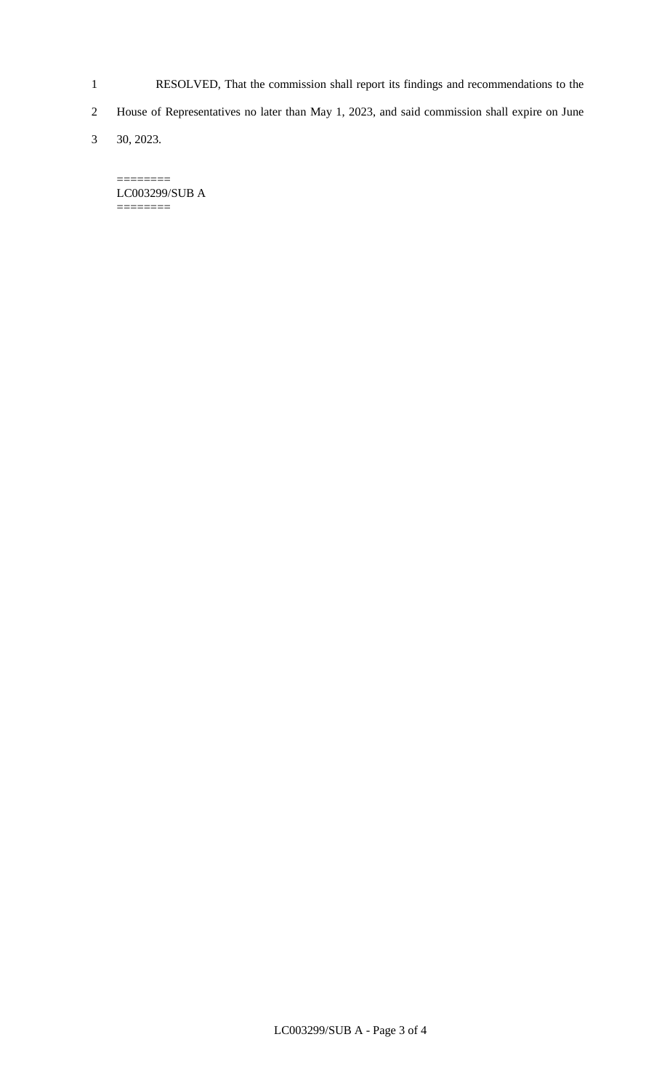- 1 RESOLVED, That the commission shall report its findings and recommendations to the
- 2 House of Representatives no later than May 1, 2023, and said commission shall expire on June
- 3 30, 2023.

LC003299/SUB A ========

 $=$